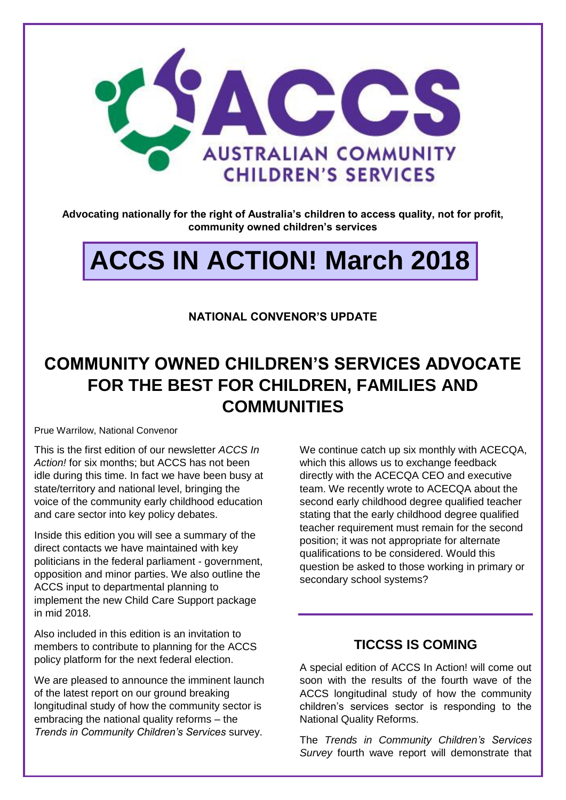

**Advocating nationally for the right of Australia's children to access quality, not for profit, community owned children's services**

# **ACCS IN ACTION! March 2018**

#### **NATIONAL CONVENOR'S UPDATE**

## **COMMUNITY OWNED CHILDREN'S SERVICES ADVOCATE FOR THE BEST FOR CHILDREN, FAMILIES AND COMMUNITIES**

Prue Warrilow, National Convenor

This is the first edition of our newsletter *ACCS In Action!* for six months; but ACCS has not been idle during this time. In fact we have been busy at state/territory and national level, bringing the voice of the community early childhood education and care sector into key policy debates.

Inside this edition you will see a summary of the direct contacts we have maintained with key politicians in the federal parliament - government, opposition and minor parties. We also outline the ACCS input to departmental planning to implement the new Child Care Support package in mid 2018.

Also included in this edition is an invitation to members to contribute to planning for the ACCS policy platform for the next federal election.

We are pleased to announce the imminent launch of the latest report on our ground breaking longitudinal study of how the community sector is embracing the national quality reforms – the *Trends in Community Children's Services* survey.

We continue catch up six monthly with ACECQA, which this allows us to exchange feedback directly with the ACECQA CEO and executive team. We recently wrote to ACECQA about the second early childhood degree qualified teacher stating that the early childhood degree qualified teacher requirement must remain for the second position; it was not appropriate for alternate qualifications to be considered. Would this question be asked to those working in primary or secondary school systems?

#### **TICCSS IS COMING**

A special edition of ACCS In Action! will come out soon with the results of the fourth wave of the ACCS longitudinal study of how the community children's services sector is responding to the National Quality Reforms.

The *Trends in Community Children's Services Survey* fourth wave report will demonstrate that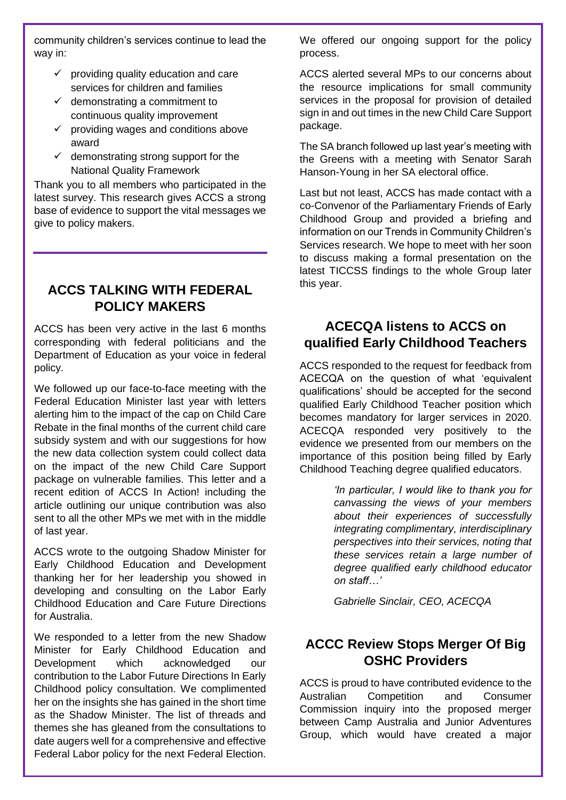community children's services continue to lead the way in:

- $\checkmark$  providing quality education and care services for children and families
- $\checkmark$  demonstrating a commitment to continuous quality improvement
- $\checkmark$  providing wages and conditions above award
- $\checkmark$  demonstrating strong support for the National Quality Framework

Thank you to all members who participated in the latest survey. This research gives ACCS a strong base of evidence to support the vital messages we give to policy makers.

### **ACCS TALKING WITH FEDERAL POLICY MAKERS**

ACCS has been very active in the last 6 months corresponding with federal politicians and the Department of Education as your voice in federal policy.

We followed up our face-to-face meeting with the Federal Education Minister last year with letters alerting him to the impact of the cap on Child Care Rebate in the final months of the current child care subsidy system and with our suggestions for how the new data collection system could collect data on the impact of the new Child Care Support package on vulnerable families. This letter and a recent edition of ACCS In Action! including the article outlining our unique contribution was also sent to all the other MPs we met with in the middle of last year.

ACCS wrote to the outgoing Shadow Minister for Early Childhood Education and Development thanking her for her leadership you showed in developing and consulting on the Labor Early Childhood Education and Care Future Directions for Australia.

We responded to a letter from the new Shadow Minister for Early Childhood Education and Development which acknowledged our contribution to the Labor Future Directions In Early Childhood policy consultation. We complimented her on the insights she has gained in the short time as the Shadow Minister. The list of threads and themes she has gleaned from the consultations to date augers well for a comprehensive and effective Federal Labor policy for the next Federal Election. We offered our ongoing support for the policy process.

ACCS alerted several MPs to our concerns about the resource implications for small community services in the proposal for provision of detailed sign in and out times in the new Child Care Support package.

The SA branch followed up last year's meeting with the Greens with a meeting with Senator Sarah Hanson-Young in her SA electoral office.

Last but not least, ACCS has made contact with a co-Convenor of the Parliamentary Friends of Early Childhood Group and provided a briefing and information on our Trends in Community Children's Services research. We hope to meet with her soon to discuss making a formal presentation on the latest TICCSS findings to the whole Group later this year.

### **ACECQA listens to ACCS on qualified Early Childhood Teachers**

ACCS responded to the request for feedback from ACECQA on the question of what 'equivalent qualifications' should be accepted for the second qualified Early Childhood Teacher position which becomes mandatory for larger services in 2020. ACECQA responded very positively to the evidence we presented from our members on the importance of this position being filled by Early Childhood Teaching degree qualified educators.

> *'In particular, I would like to thank you for canvassing the views of your members about their experiences of successfully integrating complimentary, interdisciplinary perspectives into their services, noting that these services retain a large number of degree qualified early childhood educator on staff…'*

*Gabrielle Sinclair, CEO, ACECQA*

### **ACCC Review Stops Merger Of Big OSHC Providers**

ACCS is proud to have contributed evidence to the Australian Competition and Consumer Commission inquiry into the proposed merger between Camp Australia and Junior Adventures Group, which would have created a major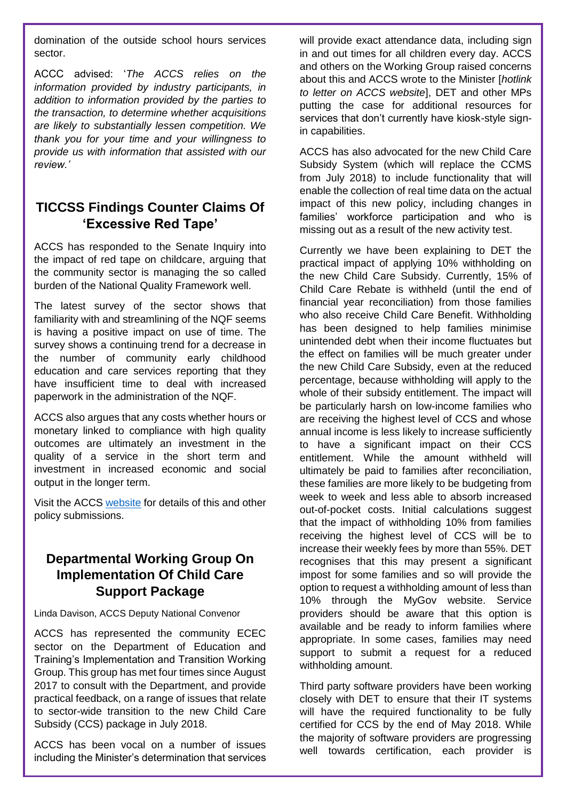domination of the outside school hours services sector.

ACCC advised: '*The ACCS relies on the information provided by industry participants, in addition to information provided by the parties to the transaction, to determine whether acquisitions are likely to substantially lessen competition. We thank you for your time and your willingness to provide us with information that assisted with our review.'*

### **TICCSS Findings Counter Claims Of 'Excessive Red Tape'**

ACCS has responded to the Senate Inquiry into the impact of red tape on childcare, arguing that the community sector is managing the so called burden of the National Quality Framework well.

The latest survey of the sector shows that familiarity with and streamlining of the NQF seems is having a positive impact on use of time. The survey shows a continuing trend for a decrease in the number of community early childhood education and care services reporting that they have insufficient time to deal with increased paperwork in the administration of the NQF.

ACCS also argues that any costs whether hours or monetary linked to compliance with high quality outcomes are ultimately an investment in the quality of a service in the short term and investment in increased economic and social output in the longer term.

Visit the ACCS [website](http://ausccs.org.au/?page_id=62) for details of this and other policy submissions.

### **Departmental Working Group On Implementation Of Child Care Support Package**

Linda Davison, ACCS Deputy National Convenor

ACCS has represented the community ECEC sector on the Department of Education and Training's Implementation and Transition Working Group. This group has met four times since August 2017 to consult with the Department, and provide practical feedback, on a range of issues that relate to sector-wide transition to the new Child Care Subsidy (CCS) package in July 2018.

ACCS has been vocal on a number of issues including the Minister's determination that services will provide exact attendance data, including sign in and out times for all children every day. ACCS and others on the Working Group raised concerns about this and ACCS wrote to the Minister [*hotlink to letter on ACCS website*], DET and other MPs putting the case for additional resources for services that don't currently have kiosk-style signin capabilities.

ACCS has also advocated for the new Child Care Subsidy System (which will replace the CCMS from July 2018) to include functionality that will enable the collection of real time data on the actual impact of this new policy, including changes in families' workforce participation and who is missing out as a result of the new activity test.

Currently we have been explaining to DET the practical impact of applying 10% withholding on the new Child Care Subsidy. Currently, 15% of Child Care Rebate is withheld (until the end of financial year reconciliation) from those families who also receive Child Care Benefit. Withholding has been designed to help families minimise unintended debt when their income fluctuates but the effect on families will be much greater under the new Child Care Subsidy, even at the reduced percentage, because withholding will apply to the whole of their subsidy entitlement. The impact will be particularly harsh on low-income families who are receiving the highest level of CCS and whose annual income is less likely to increase sufficiently to have a significant impact on their CCS entitlement. While the amount withheld will ultimately be paid to families after reconciliation, these families are more likely to be budgeting from week to week and less able to absorb increased out-of-pocket costs. Initial calculations suggest that the impact of withholding 10% from families receiving the highest level of CCS will be to increase their weekly fees by more than 55%. DET recognises that this may present a significant impost for some families and so will provide the option to request a withholding amount of less than 10% through the MyGov website. Service providers should be aware that this option is available and be ready to inform families where appropriate. In some cases, families may need support to submit a request for a reduced withholding amount.

Third party software providers have been working closely with DET to ensure that their IT systems will have the required functionality to be fully certified for CCS by the end of May 2018. While the majority of software providers are progressing well towards certification, each provider is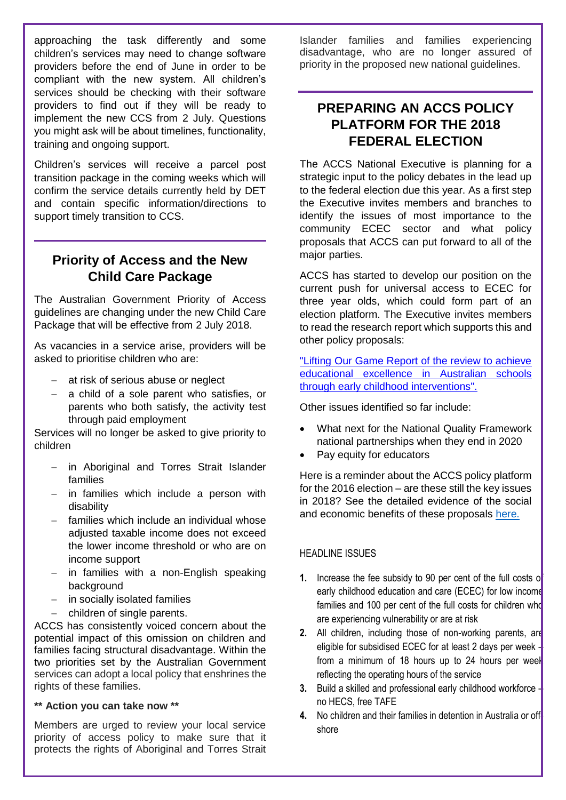approaching the task differently and some children's services may need to change software providers before the end of June in order to be compliant with the new system. All children's services should be checking with their software providers to find out if they will be ready to implement the new CCS from 2 July. Questions you might ask will be about timelines, functionality, training and ongoing support.

Children's services will receive a parcel post transition package in the coming weeks which will confirm the service details currently held by DET and contain specific information/directions to support timely transition to CCS.

#### **Priority of Access and the New Child Care Package**

The Australian Government Priority of Access guidelines are changing under the new Child Care Package that will be effective from 2 July 2018.

As vacancies in a service arise, providers will be asked to prioritise children who are:

- at risk of serious abuse or neglect
- a child of a sole parent who satisfies, or parents who both satisfy, the activity test through paid employment

Services will no longer be asked to give priority to children

- in Aboriginal and Torres Strait Islander families
- $-$  in families which include a person with disability
- families which include an individual whose adjusted taxable income does not exceed the lower income threshold or who are on income support
- $-$  in families with a non-English speaking background
- $-$  in socially isolated families
- children of single parents.

ACCS has consistently voiced concern about the potential impact of this omission on children and families facing structural disadvantage. Within the two priorities set by the Australian Government services can adopt a local policy that enshrines the rights of these families.

#### **\*\* Action you can take now \*\***

Members are urged to review your local service priority of access policy to make sure that it protects the rights of Aboriginal and Torres Strait Islander families and families experiencing disadvantage, who are no longer assured of priority in the proposed new national guidelines.

### **PREPARING AN ACCS POLICY PLATFORM FOR THE 2018 FEDERAL ELECTION**

The ACCS National Executive is planning for a strategic input to the policy debates in the lead up to the federal election due this year. As a first step the Executive invites members and branches to identify the issues of most importance to the community ECEC sector and what policy proposals that ACCS can put forward to all of the major parties.

ACCS has started to develop our position on the current push for universal access to ECEC for three year olds, which could form part of an election platform. The Executive invites members to read the research report which supports this and other policy proposals:

["Lifting Our Game Report of the review to achieve](http://www.education.vic.gov.au/Documents/about/research/LiftingOurGame.PDF)  [educational excellence in Australian schools](http://www.education.vic.gov.au/Documents/about/research/LiftingOurGame.PDF)  [through early childhood interventions".](http://www.education.vic.gov.au/Documents/about/research/LiftingOurGame.PDF)

Other issues identified so far include:

- What next for the National Quality Framework national partnerships when they end in 2020
- Pay equity for educators

Here is a reminder about the ACCS policy platform for the 2016 election – are these still the key issues in 2018? See the detailed evidence of the social and economic benefits of these proposals [here.](http://ausccs.org.au/?p=528)

#### HEADLINE ISSUES

- **1.** Increase the fee subsidy to 90 per cent of the full costs of early childhood education and care (ECEC) for low income families and 100 per cent of the full costs for children who are experiencing vulnerability or are at risk
- **2.** All children, including those of non-working parents, are eligible for subsidised ECEC for at least 2 days per week – from a minimum of 18 hours up to 24 hours per week reflecting the operating hours of the service
- **3.** Build a skilled and professional early childhood workforce no HECS, free TAFE
- **4.** No children and their families in detention in Australia or offshore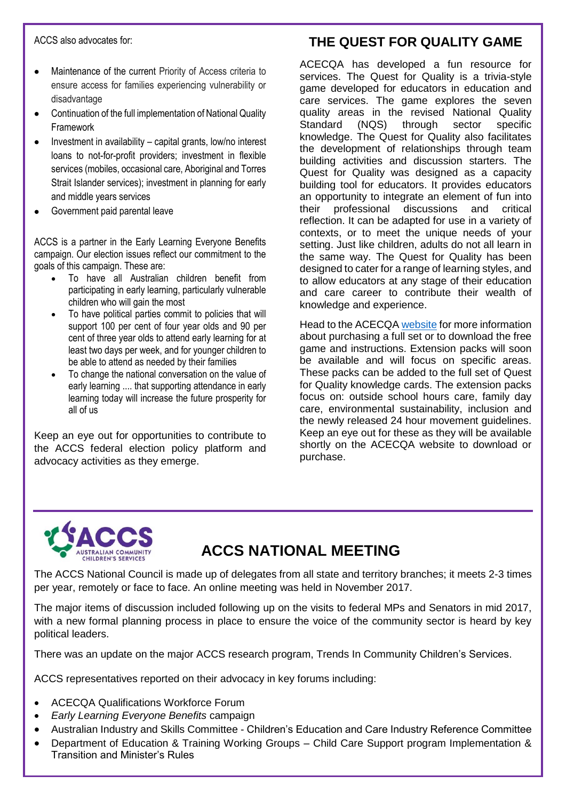ACCS also advocates for:

- Maintenance of the current Priority of Access criteria to ensure access for families experiencing vulnerability or disadvantage
- Continuation of the full implementation of National Quality Framework
- Investment in availability capital grants, low/no interest loans to not-for-profit providers; investment in flexible services (mobiles, occasional care, Aboriginal and Torres Strait Islander services); investment in planning for early and middle years services
- Government paid parental leave

ACCS is a partner in the Early Learning Everyone Benefits campaign. Our election issues reflect our commitment to the goals of this campaign. These are:

- To have all Australian children benefit from participating in early learning, particularly vulnerable children who will gain the most
- To have political parties commit to policies that will support 100 per cent of four year olds and 90 per cent of three year olds to attend early learning for at least two days per week, and for younger children to be able to attend as needed by their families
- To change the national conversation on the value of early learning .... that supporting attendance in early learning today will increase the future prosperity for all of us

Keep an eye out for opportunities to contribute to the ACCS federal election policy platform and advocacy activities as they emerge.

## **THE QUEST FOR QUALITY GAME**

ACECQA has developed a fun resource for services. The Quest for Quality is a trivia-style game developed for educators in education and care services. The game explores the seven quality areas in the revised National Quality Standard (NQS) through sector specific knowledge. The Quest for Quality also facilitates the development of relationships through team building activities and discussion starters. The Quest for Quality was designed as a capacity building tool for educators. It provides educators an opportunity to integrate an element of fun into their professional discussions and critical reflection. It can be adapted for use in a variety of contexts, or to meet the unique needs of your setting. Just like children, adults do not all learn in the same way. The Quest for Quality has been designed to cater for a range of learning styles, and to allow educators at any stage of their education and care career to contribute their wealth of knowledge and experience.

Head to the ACECQ[A website](http://www.acecqa.gov.au/national-quality-framework/nqf-video-resources) for more information about purchasing a full set or to download the free game and instructions. Extension packs will soon be available and will focus on specific areas. These packs can be added to the full set of Quest for Quality knowledge cards. The extension packs focus on: outside school hours care, family day care, environmental sustainability, inclusion and the newly released 24 hour movement guidelines. Keep an eye out for these as they will be available shortly on the ACECQA website to download or purchase.



## **ACCS NATIONAL MEETING**

The ACCS National Council is made up of delegates from all state and territory branches; it meets 2-3 times per year, remotely or face to face. An online meeting was held in November 2017.

The major items of discussion included following up on the visits to federal MPs and Senators in mid 2017, with a new formal planning process in place to ensure the voice of the community sector is heard by key political leaders.

There was an update on the major ACCS research program, Trends In Community Children's Services.

ACCS representatives reported on their advocacy in key forums including:

- ACECQA Qualifications Workforce Forum
- *Early Learning Everyone Benefits* campaign
- Australian Industry and Skills Committee Children's Education and Care Industry Reference Committee
- Department of Education & Training Working Groups Child Care Support program Implementation & Transition and Minister's Rules